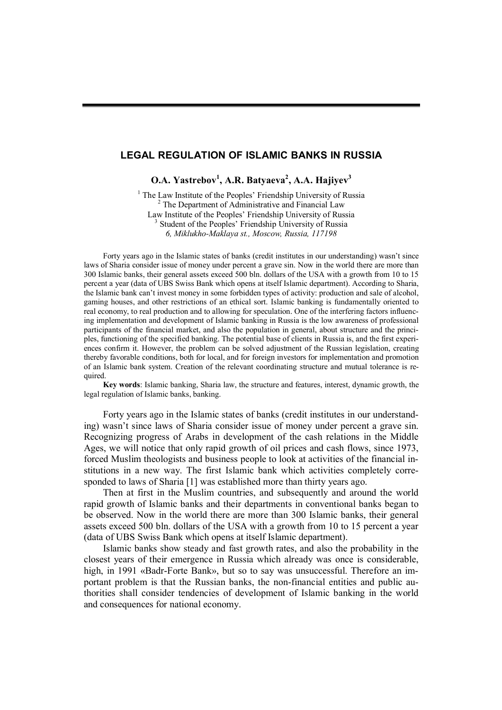## **LEGAL REGULATION OF ISLAMIC BANKS IN RUSSIA**

**O.A. Yastrebov<sup>1</sup> , A.R. Batyaeva<sup>2</sup> , A.A. Hajiyev<sup>3</sup>**

<sup>1</sup> The Law Institute of the Peoples' Friendship University of Russia  $2$  The Department of Administrative and Financial Law Law Institute of the Peoples' Friendship University of Russia <sup>3</sup> Student of the Peoples' Friendship University of Russia *6, Miklukho-Maklaya st., Moscow, Russia, 117198*

Forty years ago in the Islamic states of banks (credit institutes in our understanding) wasn't since laws of Sharia consider issue of money under percent a grave sin. Now in the world there are more than 300 Islamic banks, their general assets exceed 500 bln. dollars of the USA with a growth from 10 to 15 percent a year (data of UBS Swiss Bank which opens at itself Islamic department). According to Sharia, the Islamic bank can't invest money in some forbidden types of activity: production and sale of alcohol, gaming houses, and other restrictions of an ethical sort. Islamic banking is fundamentally oriented to real economy, to real production and to allowing for speculation. One of the interfering factors influencing implementation and development of Islamic banking in Russia is the low awareness of professional participants of the financial market, and also the population in general, about structure and the principles, functioning of the specified banking. The potential base of clients in Russia is, and the first experiences confirm it. However, the problem can be solved adjustment of the Russian legislation, creating thereby favorable conditions, both for local, and for foreign investors for implementation and promotion of an Islamic bank system. Creation of the relevant coordinating structure and mutual tolerance is required.

**Key words**: Islamic banking, Sharia law, the structure and features, interest, dynamic growth, the legal regulation of Islamic banks, banking.

Forty years ago in the Islamic states of banks (credit institutes in our understanding) wasn't since laws of Sharia consider issue of money under percent a grave sin. Recognizing progress of Arabs in development of the cash relations in the Middle Ages, we will notice that only rapid growth of oil prices and cash flows, since 1973, forced Muslim theologists and business people to look at activities of the financial institutions in a new way. The first Islamic bank which activities completely corresponded to laws of Sharia [1] was established more than thirty years ago.

Then at first in the Muslim countries, and subsequently and around the world rapid growth of Islamic banks and their departments in conventional banks began to be observed. Now in the world there are more than 300 Islamic banks, their general assets exceed 500 bln. dollars of the USA with a growth from 10 to 15 percent a year (data of UBS Swiss Bank which opens at itself Islamic department).

Islamic banks show steady and fast growth rates, and also the probability in the closest years of their emergence in Russia which already was once is considerable, high, in 1991 «Badr-Forte Bank», but so to say was unsuccessful. Therefore an important problem is that the Russian banks, the non-financial entities and public authorities shall consider tendencies of development of Islamic banking in the world and consequences for national economy.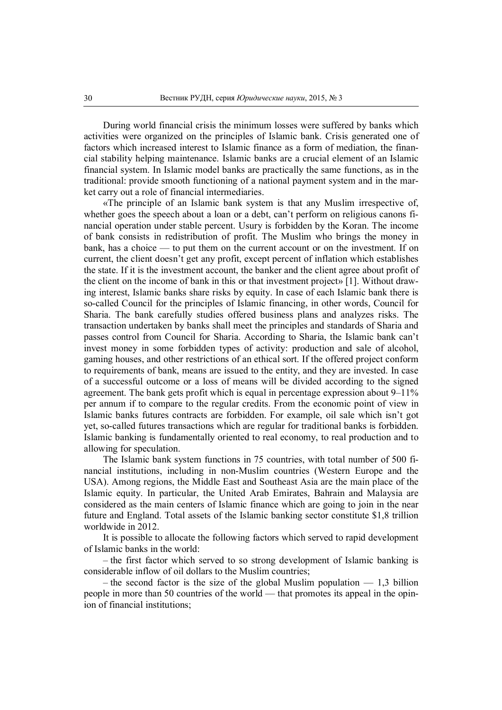During world financial crisis the minimum losses were suffered by banks which activities were organized on the principles of Islamic bank. Crisis generated one of factors which increased interest to Islamic finance as a form of mediation, the financial stability helping maintenance. Islamic banks are a crucial element of an Islamic financial system. In Islamic model banks are practically the same functions, as in the traditional: provide smooth functioning of a national payment system and in the market carry out a role of financial intermediaries.

«The principle of an Islamic bank system is that any Muslim irrespective of, whether goes the speech about a loan or a debt, can't perform on religious canons financial operation under stable percent. Usury is forbidden by the Koran. The income of bank consists in redistribution of profit. The Muslim who brings the money in bank, has a choice — to put them on the current account or on the investment. If on current, the client doesn't get any profit, except percent of inflation which establishes the state. If it is the investment account, the banker and the client agree about profit of the client on the income of bank in this or that investment project» [1]. Without drawing interest, Islamic banks share risks by equity. In case of each Islamic bank there is so-called Council for the principles of Islamic financing, in other words, Council for Sharia. The bank carefully studies offered business plans and analyzes risks. The transaction undertaken by banks shall meet the principles and standards of Sharia and passes control from Council for Sharia. According to Sharia, the Islamic bank can't invest money in some forbidden types of activity: production and sale of alcohol, gaming houses, and other restrictions of an ethical sort. If the offered project conform to requirements of bank, means are issued to the entity, and they are invested. In case of a successful outcome or a loss of means will be divided according to the signed agreement. The bank gets profit which is equal in percentage expression about 9–11% per annum if to compare to the regular credits. From the economic point of view in Islamic banks futures contracts are forbidden. For example, oil sale which isn't got yet, so-called futures transactions which are regular for traditional banks is forbidden. Islamic banking is fundamentally oriented to real economy, to real production and to allowing for speculation.

The Islamic bank system functions in 75 countries, with total number of 500 financial institutions, including in non-Muslim countries (Western Europe and the USA). Among regions, the Middle East and Southeast Asia are the main place of the Islamic equity. In particular, the United Arab Emirates, Bahrain and Malaysia are considered as the main centers of Islamic finance which are going to join in the near future and England. Total assets of the Islamic banking sector constitute \$1,8 trillion worldwide in 2012.

It is possible to allocate the following factors which served to rapid development of Islamic banks in the world:

– the first factor which served to so strong development of Islamic banking is considerable inflow of oil dollars to the Muslim countries;

– the second factor is the size of the global Muslim population  $-1,3$  billion people in more than 50 countries of the world — that promotes its appeal in the opinion of financial institutions;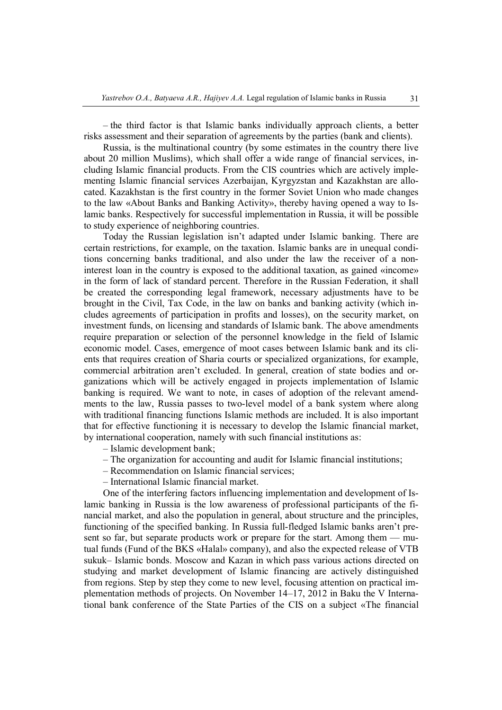– the third factor is that Islamic banks individually approach clients, a better risks assessment and their separation of agreements by the parties (bank and clients).

Russia, is the multinational country (by some estimates in the country there live about 20 million Muslims), which shall offer a wide range of financial services, including Islamic financial products. From the CIS countries which are actively implementing Islamic financial services Azerbaijan, Kyrgyzstan and Kazakhstan are allocated. Kazakhstan is the first country in the former Soviet Union who made changes to the law «About Banks and Banking Activity», thereby having opened a way to Islamic banks. Respectively for successful implementation in Russia, it will be possible to study experience of neighboring countries.

Today the Russian legislation isn't adapted under Islamic banking. There are certain restrictions, for example, on the taxation. Islamic banks are in unequal conditions concerning banks traditional, and also under the law the receiver of a noninterest loan in the country is exposed to the additional taxation, as gained «income» in the form of lack of standard percent. Therefore in the Russian Federation, it shall be created the corresponding legal framework, necessary adjustments have to be brought in the Civil, Tax Code, in the law on banks and banking activity (which includes agreements of participation in profits and losses), on the security market, on investment funds, on licensing and standards of Islamic bank. The above amendments require preparation or selection of the personnel knowledge in the field of Islamic economic model. Cases, emergence of moot cases between Islamic bank and its clients that requires creation of Sharia courts or specialized organizations, for example, commercial arbitration aren't excluded. In general, creation of state bodies and organizations which will be actively engaged in projects implementation of Islamic banking is required. We want to note, in cases of adoption of the relevant amendments to the law, Russia passes to two-level model of a bank system where along with traditional financing functions Islamic methods are included. It is also important that for effective functioning it is necessary to develop the Islamic financial market, by international cooperation, namely with such financial institutions as:

- Islamic development bank;
- The organization for accounting and audit for Islamic financial institutions;
- Recommendation on Islamic financial services;
- International Islamic financial market.

One of the interfering factors influencing implementation and development of Islamic banking in Russia is the low awareness of professional participants of the financial market, and also the population in general, about structure and the principles, functioning of the specified banking. In Russia full-fledged Islamic banks aren't present so far, but separate products work or prepare for the start. Among them — mutual funds (Fund of the BKS «Halal» company), and also the expected release of VTB sukuk– Islamic bonds. Moscow and Kazan in which pass various actions directed on studying and market development of Islamic financing are actively distinguished from regions. Step by step they come to new level, focusing attention on practical implementation methods of projects. On November 14–17, 2012 in Baku the V International bank conference of the State Parties of the CIS on a subject «The financial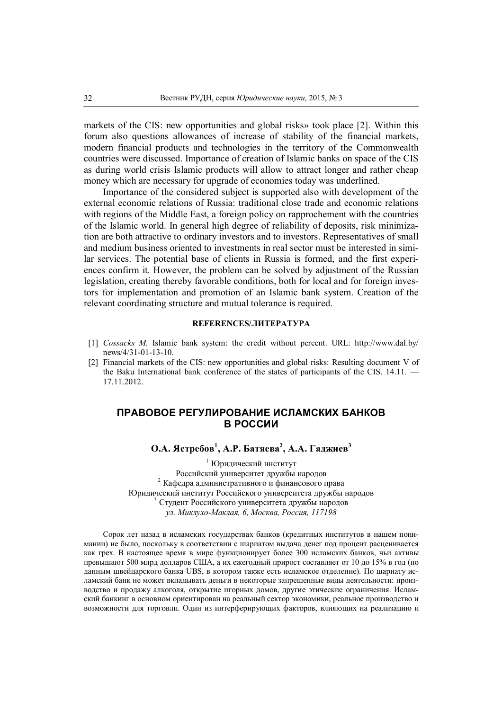markets of the CIS: new opportunities and global risks» took place [2]. Within this forum also questions allowances of increase of stability of the financial markets, modern financial products and technologies in the territory of the Commonwealth countries were discussed. Importance of creation of Islamic banks on space of the CIS as during world crisis Islamic products will allow to attract longer and rather cheap money which are necessary for upgrade of economies today was underlined.

Importance of the considered subject is supported also with development of the external economic relations of Russia: traditional close trade and economic relations with regions of the Middle East, a foreign policy on rapprochement with the countries of the Islamic world. In general high degree of reliability of deposits, risk minimization are both attractive to ordinary investors and to investors. Representatives of small and medium business oriented to investments in real sector must be interested in similar services. The potential base of clients in Russia is formed, and the first experiences confirm it. However, the problem can be solved by adjustment of the Russian legislation, creating thereby favorable conditions, both for local and for foreign investors for implementation and promotion of an Islamic bank system. Creation of the relevant coordinating structure and mutual tolerance is required.

## **REFERENCES/ЛИТЕРАТУРА**

- [1] *Cossacks M.* Islamic bank system: the credit without percent. URL: http://www.dal.by/ news/4/31-01-13-10.
- [2] Financial markets of the CIS: new opportunities and global risks: Resulting document V of the Baku International bank conference of the states of participants of the CIS. 14.11. — 17.11.2012.

## **ПРАВОВОЕ РЕГУЛИРОВАНИЕ ИСЛАМСКИХ БАНКОВ В РОССИИ**

**О.А. Ястребов<sup>1</sup> , А.Р. Батяева<sup>2</sup> , А.А. Гаджиев<sup>3</sup>**

1 Юридический институт Российский университет дружбы народов <sup>2</sup> Кафедра административного и финансового права Юридический институт Российского университета дружбы народов 3 Студент Российского университета дружбы народов *ул. Миклухо-Маклая, 6, Москва, Россия, 117198*

Сорок лет назад в исламских государствах банков (кредитных институтов в нашем понимании) не было, поскольку в соответствии с шариатом выдача денег под процент расценивается как грех. В настоящее время в мире функционирует более 300 исламских банков, чьи активы превышают 500 млрд долларов США, а их ежегодный прирост составляет от 10 до 15% в год (по данным швейцарского банка UBS, в котором также есть исламское отделение). По шариату исламский банк не может вкладывать деньги в некоторые запрещенные виды деятельности: производство и продажу алкоголя, открытие игорных домов, другие этические ограничения. Исламский банкинг в основном ориентирован на реальный сектор экономики, реальное производство и возможности для торговли. Один из интерферирующих факторов, влияющих на реализацию и